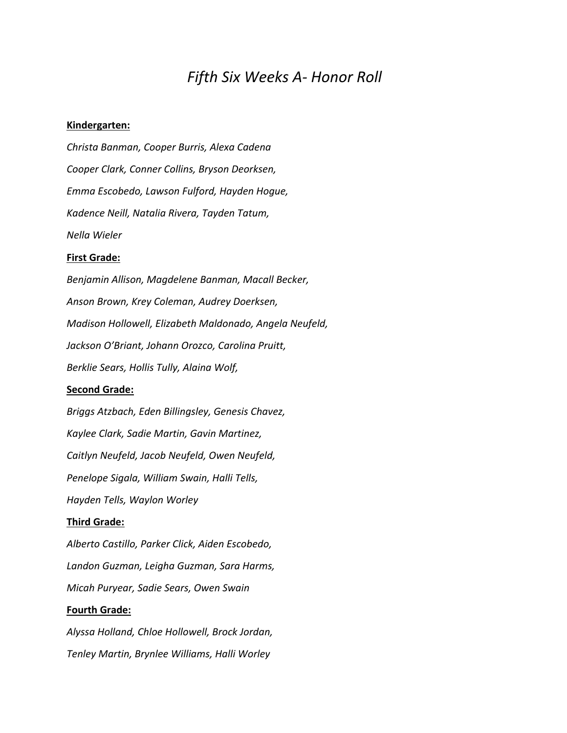# *Fifth Six Weeks A- Honor Roll*

#### **Kindergarten:**

*Christa Banman, Cooper Burris, Alexa Cadena Cooper Clark, Conner Collins, Bryson Deorksen, Emma Escobedo, Lawson Fulford, Hayden Hogue, Kadence Neill, Natalia Rivera, Tayden Tatum, Nella Wieler*

#### **First Grade:**

*Benjamin Allison, Magdelene Banman, Macall Becker, Anson Brown, Krey Coleman, Audrey Doerksen, Madison Hollowell, Elizabeth Maldonado, Angela Neufeld, Jackson O'Briant, Johann Orozco, Carolina Pruitt, Berklie Sears, Hollis Tully, Alaina Wolf,*  **Second Grade:**

*Briggs Atzbach, Eden Billingsley, Genesis Chavez, Kaylee Clark, Sadie Martin, Gavin Martinez, Caitlyn Neufeld, Jacob Neufeld, Owen Neufeld, Penelope Sigala, William Swain, Halli Tells, Hayden Tells, Waylon Worley*

#### **Third Grade:**

*Alberto Castillo, Parker Click, Aiden Escobedo, Landon Guzman, Leigha Guzman, Sara Harms, Micah Puryear, Sadie Sears, Owen Swain*

# **Fourth Grade:**

*Alyssa Holland, Chloe Hollowell, Brock Jordan, Tenley Martin, Brynlee Williams, Halli Worley*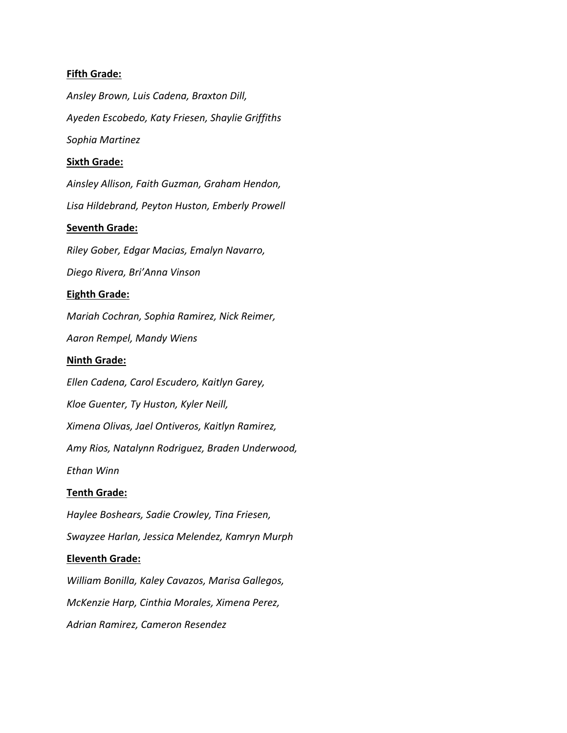# **Fifth Grade:**

*Ansley Brown, Luis Cadena, Braxton Dill, Ayeden Escobedo, Katy Friesen, Shaylie Griffiths Sophia Martinez* **Sixth Grade:** *Ainsley Allison, Faith Guzman, Graham Hendon, Lisa Hildebrand, Peyton Huston, Emberly Prowell* **Seventh Grade:** *Riley Gober, Edgar Macias, Emalyn Navarro, Diego Rivera, Bri'Anna Vinson*

# **Eighth Grade:**

*Mariah Cochran, Sophia Ramirez, Nick Reimer,*

*Aaron Rempel, Mandy Wiens*

# **Ninth Grade:**

*Ellen Cadena, Carol Escudero, Kaitlyn Garey, Kloe Guenter, Ty Huston, Kyler Neill, Ximena Olivas, Jael Ontiveros, Kaitlyn Ramirez, Amy Rios, Natalynn Rodriguez, Braden Underwood, Ethan Winn*

# **Tenth Grade:**

*Haylee Boshears, Sadie Crowley, Tina Friesen,*

*Swayzee Harlan, Jessica Melendez, Kamryn Murph*

# **Eleventh Grade:**

*William Bonilla, Kaley Cavazos, Marisa Gallegos, McKenzie Harp, Cinthia Morales, Ximena Perez, Adrian Ramirez, Cameron Resendez*